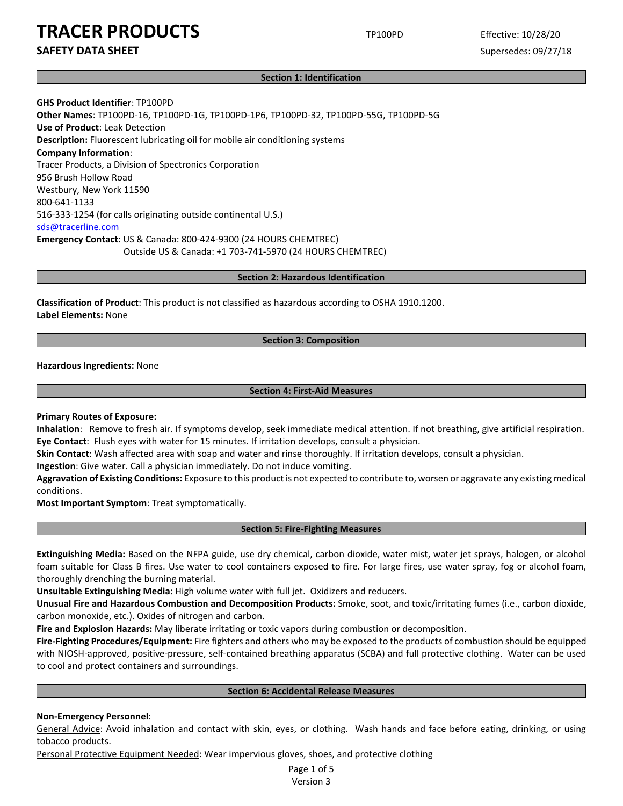**SAFETY DATA SHEET** SUPERFOUR SUPERFOUR SUPERFOUR SUPERFOUR SUPERFOUR SUPERFOUR SUPERFOUR SUPERFOUR SUPERFOUR SUPERFOUR SUPERFOUR SUPERFOUR SUPERFOUR SUPERFOUR SUPERFOUR SUPERFOUR SUPERFOUR SUPERFOUR SUPERFOUR SUPERFOUR SU

### **Section 1: Identification**

**GHS Product Identifier**: TP100PD **Other Names**: TP100PD-16, TP100PD-1G, TP100PD-1P6, TP100PD-32, TP100PD-55G, TP100PD-5G **Use of Product**: Leak Detection **Description:** Fluorescent lubricating oil for mobile air conditioning systems **Company Information**: Tracer Products, a Division of Spectronics Corporation 956 Brush Hollow Road Westbury, New York 11590 800-641-1133 516-333-1254 (for calls originating outside continental U.S.) sds@tracerline.com **Emergency Contact**: US & Canada: 800-424-9300 (24 HOURS CHEMTREC) Outside US & Canada: +1 703-741-5970 (24 HOURS CHEMTREC)

### **Section 2: Hazardous Identification**

**Classification of Product**: This product is not classified as hazardous according to OSHA 1910.1200. **Label Elements:** None

# **Section 3: Composition**

**Hazardous Ingredients:** None

### **Section 4: First-Aid Measures**

**Primary Routes of Exposure:**

**Inhalation**: Remove to fresh air. If symptoms develop, seek immediate medical attention. If not breathing, give artificial respiration. **Eye Contact**: Flush eyes with water for 15 minutes. If irritation develops, consult a physician.

**Skin Contact**: Wash affected area with soap and water and rinse thoroughly. If irritation develops, consult a physician.

**Ingestion**: Give water. Call a physician immediately. Do not induce vomiting.

**Aggravation of Existing Conditions:** Exposure to this product is not expected to contribute to, worsen or aggravate any existing medical conditions.

**Most Important Symptom**: Treat symptomatically.

### **Section 5: Fire-Fighting Measures**

**Extinguishing Media:** Based on the NFPA guide, use dry chemical, carbon dioxide, water mist, water jet sprays, halogen, or alcohol foam suitable for Class B fires. Use water to cool containers exposed to fire. For large fires, use water spray, fog or alcohol foam, thoroughly drenching the burning material.

**Unsuitable Extinguishing Media:** High volume water with full jet. Oxidizers and reducers.

**Unusual Fire and Hazardous Combustion and Decomposition Products:** Smoke, soot, and toxic/irritating fumes (i.e., carbon dioxide, carbon monoxide, etc.). Oxides of nitrogen and carbon.

**Fire and Explosion Hazards:** May liberate irritating or toxic vapors during combustion or decomposition.

**Fire-Fighting Procedures/Equipment:** Fire fighters and others who may be exposed to the products of combustion should be equipped with NIOSH-approved, positive-pressure, self-contained breathing apparatus (SCBA) and full protective clothing. Water can be used to cool and protect containers and surroundings.

# **Section 6: Accidental Release Measures**

## **Non-Emergency Personnel**:

General Advice: Avoid inhalation and contact with skin, eyes, or clothing. Wash hands and face before eating, drinking, or using tobacco products.

Personal Protective Equipment Needed: Wear impervious gloves, shoes, and protective clothing

Page 1 of 5 Version 3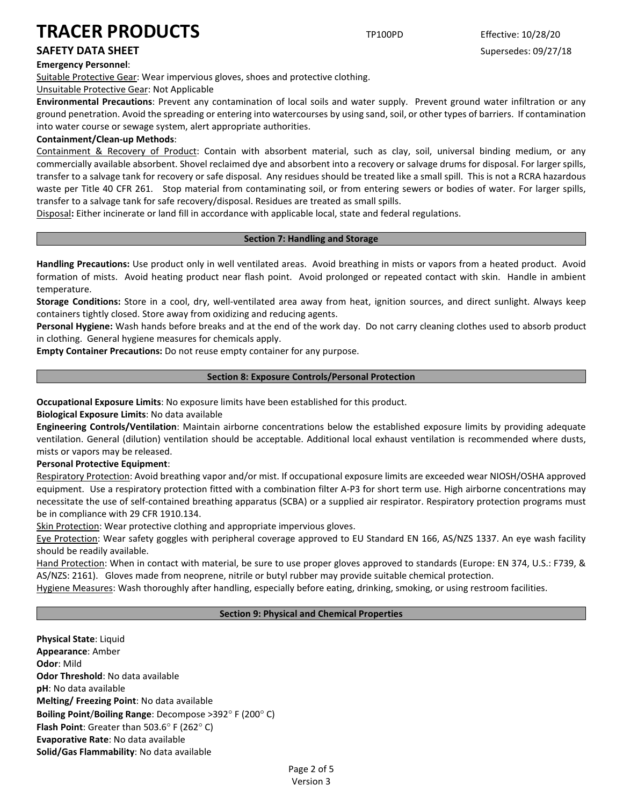# **Emergency Personnel**:

Suitable Protective Gear: Wear impervious gloves, shoes and protective clothing.

Unsuitable Protective Gear: Not Applicable

**Environmental Precautions**: Prevent any contamination of local soils and water supply. Prevent ground water infiltration or any ground penetration. Avoid the spreading or entering into watercourses by using sand, soil, or other types of barriers. If contamination into water course or sewage system, alert appropriate authorities.

# **Containment/Clean-up Methods**:

Containment & Recovery of Product: Contain with absorbent material, such as clay, soil, universal binding medium, or any commercially available absorbent. Shovel reclaimed dye and absorbent into a recovery or salvage drums for disposal. For larger spills, transfer to a salvage tank for recovery or safe disposal. Any residues should be treated like a small spill. This is not a RCRA hazardous waste per Title 40 CFR 261. Stop material from contaminating soil, or from entering sewers or bodies of water. For larger spills, transfer to a salvage tank for safe recovery/disposal. Residues are treated as small spills.

Disposal**:** Either incinerate or land fill in accordance with applicable local, state and federal regulations.

# **Section 7: Handling and Storage**

**Handling Precautions:** Use product only in well ventilated areas. Avoid breathing in mists or vapors from a heated product. Avoid formation of mists. Avoid heating product near flash point. Avoid prolonged or repeated contact with skin. Handle in ambient temperature.

**Storage Conditions:** Store in a cool, dry, well-ventilated area away from heat, ignition sources, and direct sunlight. Always keep containers tightly closed. Store away from oxidizing and reducing agents.

**Personal Hygiene:** Wash hands before breaks and at the end of the work day. Do not carry cleaning clothes used to absorb product in clothing. General hygiene measures for chemicals apply.

**Empty Container Precautions:** Do not reuse empty container for any purpose.

# **Section 8: Exposure Controls/Personal Protection**

**Occupational Exposure Limits**: No exposure limits have been established for this product.

**Biological Exposure Limits**: No data available

**Engineering Controls/Ventilation**: Maintain airborne concentrations below the established exposure limits by providing adequate ventilation. General (dilution) ventilation should be acceptable. Additional local exhaust ventilation is recommended where dusts, mists or vapors may be released.

## **Personal Protective Equipment**:

Respiratory Protection: Avoid breathing vapor and/or mist. If occupational exposure limits are exceeded wear NIOSH/OSHA approved equipment. Use a respiratory protection fitted with a combination filter A-P3 for short term use. High airborne concentrations may necessitate the use of self-contained breathing apparatus (SCBA) or a supplied air respirator. Respiratory protection programs must be in compliance with 29 CFR 1910.134.

Skin Protection: Wear protective clothing and appropriate impervious gloves.

Eye Protection: Wear safety goggles with peripheral coverage approved to EU Standard EN 166, AS/NZS 1337. An eye wash facility should be readily available.

Hand Protection: When in contact with material, be sure to use proper gloves approved to standards (Europe: EN 374, U.S.: F739, & AS/NZS: 2161). Gloves made from neoprene, nitrile or butyl rubber may provide suitable chemical protection.

Hygiene Measures: Wash thoroughly after handling, especially before eating, drinking, smoking, or using restroom facilities.

# **Section 9: Physical and Chemical Properties**

**Physical State**: Liquid **Appearance**: Amber **Odor**: Mild **Odor Threshold**: No data available **pH**: No data available **Melting/ Freezing Point**: No data available **Boiling Point**/**Boiling Range**: Decompose >392° F (200° C) **Flash Point**: Greater than 503.6° F (262° C) **Evaporative Rate**: No data available **Solid/Gas Flammability**: No data available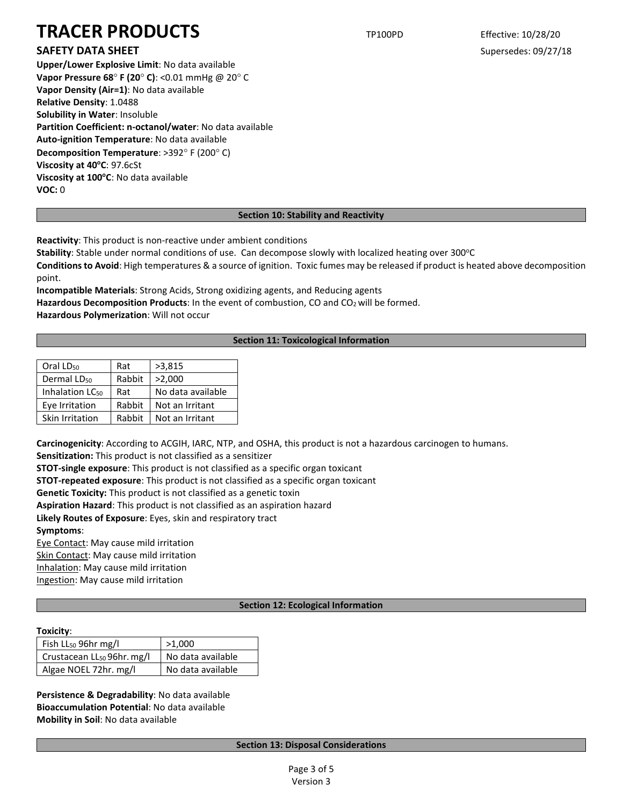# **SAFETY DATA SHEET** SUPERFOUR SUPERFOUR SUPERFOUR SUPERFOUR SUPERFOUR SUPERFOUR SUPERFOUR SUPERFOUR SUPERFOUR SUPERFOUR SUPERFOUR SUPERFOUR SUPERFOUR SUPERFOUR SUPERFOUR SUPERFOUR SUPERFOUR SUPERFOUR SUPERFOUR SUPERFOUR SU

**Upper/Lower Explosive Limit**: No data available **Vapor Pressure 68**° **F (20**° **C)**: <0.01 mmHg @ 20° C **Vapor Density (Air=1)**: No data available **Relative Density**: 1.0488 **Solubility in Water**: Insoluble **Partition Coefficient: n-octanol/water**: No data available **Auto-ignition Temperature**: No data available **Decomposition Temperature**: >392° F (200° C) Viscosity at 40°C: 97.6cSt **Viscosity at 100°C**: No data available **VOC:** 0

# **Section 10: Stability and Reactivity**

**Reactivity**: This product is non-reactive under ambient conditions

**Stability**: Stable under normal conditions of use. Can decompose slowly with localized heating over 300°C

**Conditions to Avoid**: High temperatures & a source of ignition. Toxic fumes may be released if product is heated above decomposition point.

**Incompatible Materials**: Strong Acids, Strong oxidizing agents, and Reducing agents Hazardous Decomposition Products: In the event of combustion, CO and CO<sub>2</sub> will be formed. **Hazardous Polymerization**: Will not occur

# **Section 11: Toxicological Information**

| Oral LD <sub>50</sub>       | Rat    | >3,815            |  |
|-----------------------------|--------|-------------------|--|
| Dermal LD <sub>50</sub>     | Rabbit | >2,000            |  |
| Inhalation LC <sub>50</sub> | Rat    | No data available |  |
| Eye Irritation              | Rabbit | Not an Irritant   |  |
| Skin Irritation             | Rabbit | Not an Irritant   |  |

**Carcinogenicity**: According to ACGIH, IARC, NTP, and OSHA, this product is not a hazardous carcinogen to humans.

**Sensitization:** This product is not classified as a sensitizer

**STOT-single exposure**: This product is not classified as a specific organ toxicant

**STOT-repeated exposure**: This product is not classified as a specific organ toxicant

**Genetic Toxicity:** This product is not classified as a genetic toxin

**Aspiration Hazard**: This product is not classified as an aspiration hazard

**Likely Routes of Exposure**: Eyes, skin and respiratory tract

**Symptoms**:

Eye Contact: May cause mild irritation

Skin Contact: May cause mild irritation

Inhalation: May cause mild irritation

Ingestion: May cause mild irritation

# **Section 12: Ecological Information**

# **Toxicity**:

| Fish LL <sub>50</sub> 96hr mg/l        | >1,000            |  |
|----------------------------------------|-------------------|--|
| Crustacean LL <sub>50</sub> 96hr. mg/l | No data available |  |
| Algae NOEL 72hr. mg/l                  | No data available |  |

**Persistence & Degradability**: No data available **Bioaccumulation Potential**: No data available **Mobility in Soil**: No data available

# **Section 13: Disposal Considerations**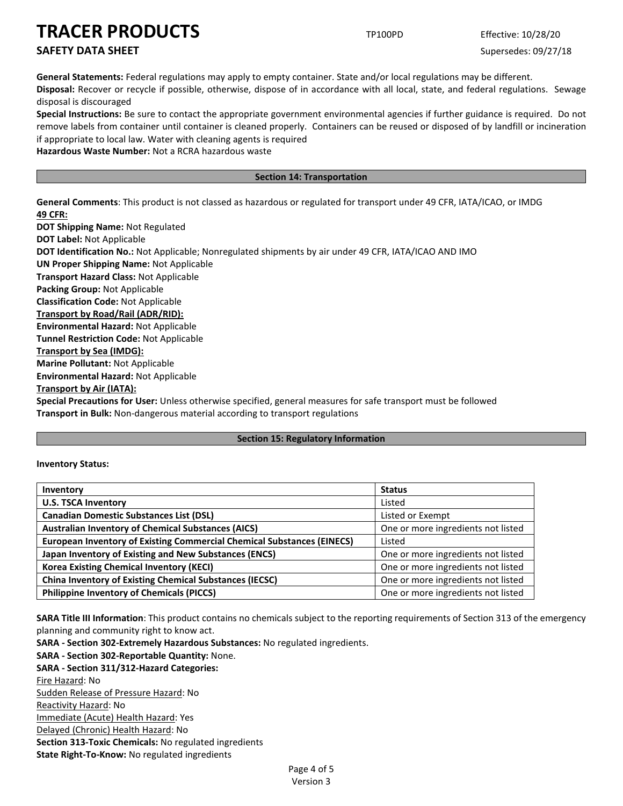# **SAFETY DATA SHEET** SUPERFOUR SUPERFOUR SUPERFOUR SUPERFOUR SUPERFOUR SUPERFOUR SUPERFOUR SUPERFOUR SUPERFOUR SUPERFOUR SUPERFOUR SUPERFOUR SUPERFOUR SUPERFOUR SUPERFOUR SUPERFOUR SUPERFOUR SUPERFOUR SUPERFOUR SUPERFOUR SU

**General Statements:** Federal regulations may apply to empty container. State and/or local regulations may be different.

**Disposal:** Recover or recycle if possible, otherwise, dispose of in accordance with all local, state, and federal regulations. Sewage disposal is discouraged

**Special Instructions:** Be sure to contact the appropriate government environmental agencies if further guidance is required. Do not remove labels from container until container is cleaned properly. Containers can be reused or disposed of by landfill or incineration if appropriate to local law. Water with cleaning agents is required

**Hazardous Waste Number:** Not a RCRA hazardous waste

# **Section 14: Transportation**

**General Comments**: This product is not classed as hazardous or regulated for transport under 49 CFR, IATA/ICAO, or IMDG **49 CFR:**

**DOT Shipping Name:** Not Regulated **DOT Label:** Not Applicable **DOT Identification No.:** Not Applicable; Nonregulated shipments by air under 49 CFR, IATA/ICAO AND IMO **UN Proper Shipping Name:** Not Applicable **Transport Hazard Class:** Not Applicable **Packing Group:** Not Applicable **Classification Code:** Not Applicable **Transport by Road/Rail (ADR/RID): Environmental Hazard:** Not Applicable **Tunnel Restriction Code:** Not Applicable **Transport by Sea (IMDG): Marine Pollutant:** Not Applicable **Environmental Hazard:** Not Applicable **Transport by Air (IATA): Special Precautions for User:** Unless otherwise specified, general measures for safe transport must be followed **Transport in Bulk:** Non-dangerous material according to transport regulations

## **Section 15: Regulatory Information**

## **Inventory Status:**

| Inventory                                                                     | <b>Status</b>                      |
|-------------------------------------------------------------------------------|------------------------------------|
| <b>U.S. TSCA Inventory</b>                                                    | Listed                             |
| <b>Canadian Domestic Substances List (DSL)</b>                                | Listed or Exempt                   |
| <b>Australian Inventory of Chemical Substances (AICS)</b>                     | One or more ingredients not listed |
| <b>European Inventory of Existing Commercial Chemical Substances (EINECS)</b> | Listed                             |
| Japan Inventory of Existing and New Substances (ENCS)                         | One or more ingredients not listed |
| <b>Korea Existing Chemical Inventory (KECI)</b>                               | One or more ingredients not listed |
| <b>China Inventory of Existing Chemical Substances (IECSC)</b>                | One or more ingredients not listed |
| <b>Philippine Inventory of Chemicals (PICCS)</b>                              | One or more ingredients not listed |

**SARA Title III Information**: This product contains no chemicals subject to the reporting requirements of Section 313 of the emergency planning and community right to know act.

**SARA - Section 302-Extremely Hazardous Substances:** No regulated ingredients. **SARA - Section 302-Reportable Quantity:** None. **SARA - Section 311/312-Hazard Categories:** Fire Hazard: No Sudden Release of Pressure Hazard: No Reactivity Hazard: No Immediate (Acute) Health Hazard: Yes Delayed (Chronic) Health Hazard: No **Section 313-Toxic Chemicals:** No regulated ingredients **State Right-To-Know:** No regulated ingredients